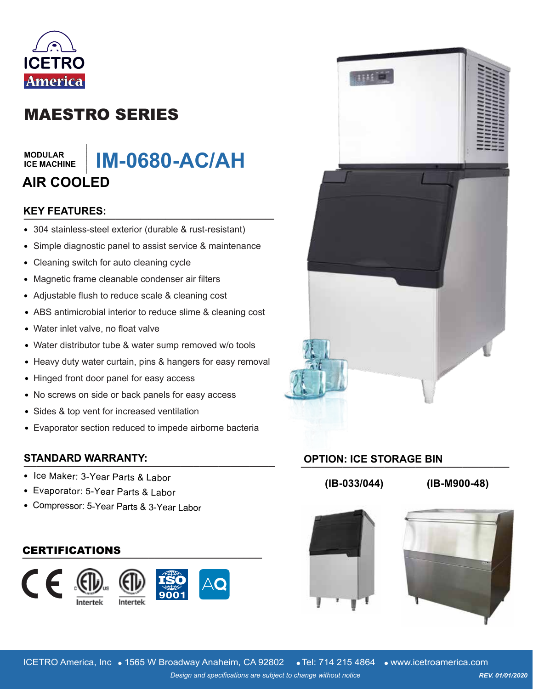

# MAESTRO SERIES

#### **MODULAR ICE MACHINE**

#### **IM-0680-AC/AH \_\_\_\_\_\_\_ AIR COOLED**

# **\_\_\_\_\_\_\_\_\_\_\_\_\_\_\_\_\_\_\_\_\_\_\_\_\_\_\_\_\_\_ KEY FEATURES:**

- 304 stainless-steel exterior (durable & rust-resistant)
- Simple diagnostic panel to assist service & maintenance  $\bullet$
- Cleaning switch for auto cleaning cycle  $\bullet$
- Magnetic frame cleanable condenser air filters  $\bullet$
- Adjustable flush to reduce scale & cleaning cost
- ABS antimicrobial interior to reduce slime & cleaning cost
- Water inlet valve, no float valve
- Water distributor tube & water sump removed w/o tools
- Heavy duty water curtain, pins & hangers for easy removal
- Hinged front door panel for easy access
- No screws on side or back panels for easy access
- Sides & top vent for increased ventilation
- Evaporator section reduced to impede airborne bacteria

## **STANDARD WARRANTY: \_\_\_\_\_\_\_\_\_\_\_\_\_\_\_\_\_\_\_\_\_\_\_\_\_\_\_\_\_\_\_\_\_\_\_\_\_\_\_\_**

- Ice Maker: 3-Year Parts & Labor
- Evaporator: 5-Year Parts & Labor
- Compressor: 5-Year Parts & 3-Year Labor

#### **\_\_\_\_\_\_\_\_\_\_\_\_\_\_\_\_\_\_\_\_\_\_\_\_\_\_\_\_\_\_\_\_\_\_\_\_\_\_\_\_** CERTIFICATIONS





## **\_\_\_\_\_\_\_\_\_\_\_\_\_\_\_\_\_\_\_\_\_\_\_\_\_\_\_\_\_\_\_\_\_\_\_\_\_\_\_\_ OPTION: ICE STORAGE BIN**

**(IB-033/044) (IB-M900-48)**